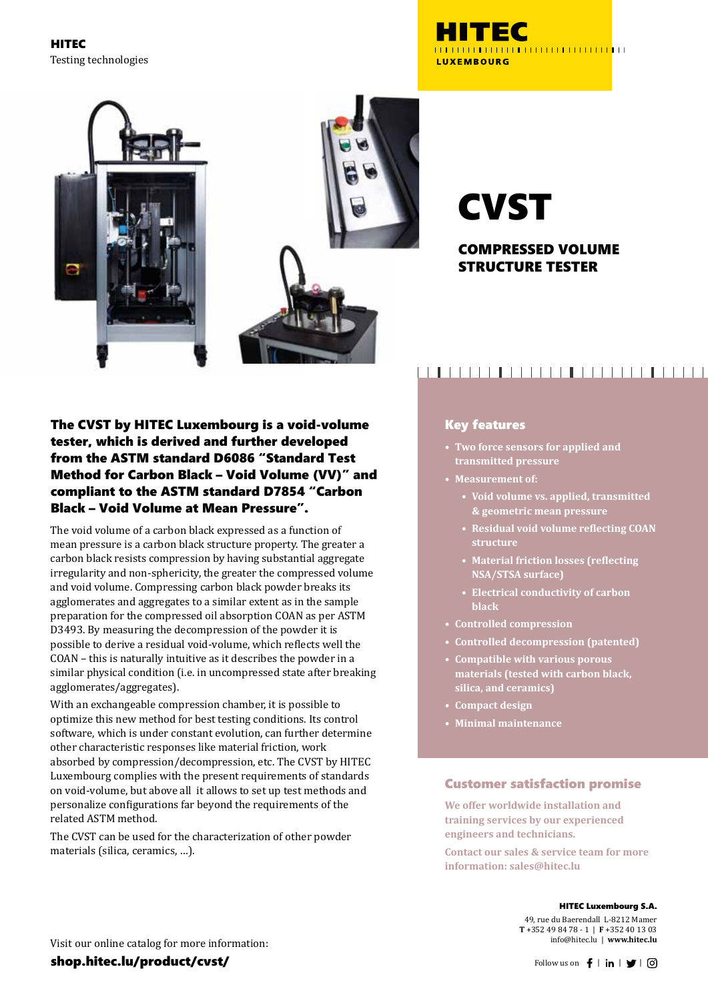HITEC Testing technologies





# **CVST**

## COMPRESSED VOLUME STRUCTURE TESTER

## The CVST by HITEC Luxembourg is a void-volume tester, which is derived and further developed from the ASTM standard D6086 "Standard Test Method for Carbon Black – Void Volume (VV)" and compliant to the ASTM standard D7854 "Carbon Black – Void Volume at Mean Pressure".

The void volume of a carbon black expressed as a function of mean pressure is a carbon black structure property. The greater a carbon black resists compression by having substantial aggregate irregularity and non-sphericity, the greater the compressed volume and void volume. Compressing carbon black powder breaks its agglomerates and aggregates to a similar extent as in the sample preparation for the compressed oil absorption COAN as per ASTM D3493. By measuring the decompression of the powder it is possible to derive a residual void-volume, which reflects well the COAN – this is naturally intuitive as it describes the powder in a similar physical condition (i.e. in uncompressed state after breaking agglomerates/aggregates).

With an exchangeable compression chamber, it is possible to optimize this new method for best testing conditions. Its control software, which is under constant evolution, can further determine other characteristic responses like material friction, work absorbed by compression/decompression, etc. The CVST by HITEC Luxembourg complies with the present requirements of standards on void-volume, but above all it allows to set up test methods and personalize configurations far beyond the requirements of the related ASTM method.

The CVST can be used for the characterization of other powder materials (silica, ceramics, …).

## 

## Key features

**• Two force sensors for applied and transmitted pressure**

- **• Measurement of:**
	- **• Void volume vs. applied, transmitted & geometric mean pressure**
	- **• Residual void volume reflecting COAN structure**
	- **• Material friction losses (reflecting NSA/STSA surface)**
	- **• Electrical conductivity of carbon black**
- **• Controlled compression**
- **• Controlled decompression (patented)**
- **• Compatible with various porous materials (tested with carbon black, silica, and ceramics)**
- **• Compact design**
- **• Minimal maintenance**

#### Customer satisfaction promise

**We offer worldwide installation and training services by our experienced engineers and technicians.**

**Contact our sales & service team for more information: sales@hitec.lu**

#### HITEC Luxembourg S.A.

49, rue du Baerendall L-8212 Mamer **T** +352 49 84 78 - 1 | **F** +352 40 13 03 info@hitec.lu | **www.hitec.lu**

Visit our online catalog for more information:

shop.hitec.lu/product/cvst/